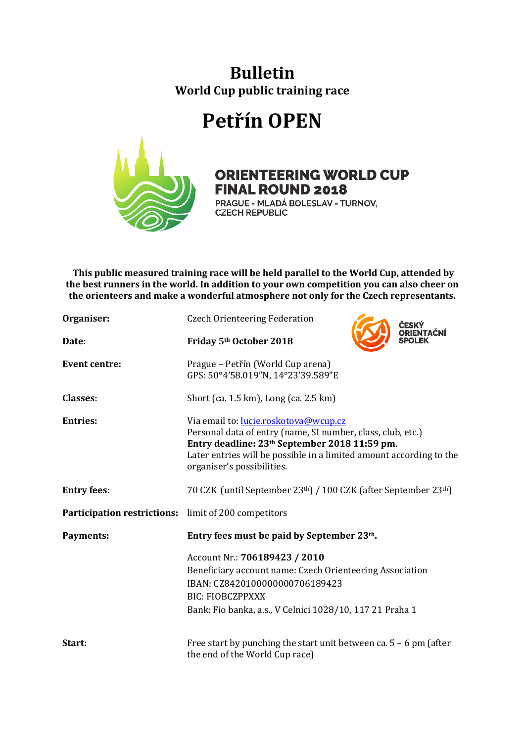## **Bulletin World Cup public training race**

## **Petřín OPEN**



## **ORIENTEERING WORLD CUP FINAL ROUND 2018**

PRAGUE - MLADÁ BOLESLAV - TURNOV, **CZECH REPUBLIC** 

**This public measured training race will be held parallel to the World Cup, attended by the best runners in the world. In addition to your own competition you can also cheer on the orienteers and make a wonderful atmosphere not only for the Czech representants.**

| Organiser:                                                  | <b>Czech Orienteering Federation</b>                                                                                                                                                                                                                                   |  |
|-------------------------------------------------------------|------------------------------------------------------------------------------------------------------------------------------------------------------------------------------------------------------------------------------------------------------------------------|--|
| Date:                                                       | Friday 5th October 2018                                                                                                                                                                                                                                                |  |
| <b>Event centre:</b>                                        | Prague – Petřín (World Cup arena)<br>GPS: 50°4'58.019"N, 14°23'39.589"E                                                                                                                                                                                                |  |
| <b>Classes:</b>                                             | Short (ca. 1.5 km), Long (ca. 2.5 km)                                                                                                                                                                                                                                  |  |
| <b>Entries:</b>                                             | Via email to: lucie.roskotova@wcup.cz<br>Personal data of entry (name, SI number, class, club, etc.)<br>Entry deadline: 23 <sup>th</sup> September 2018 11:59 pm.<br>Later entries will be possible in a limited amount according to the<br>organiser's possibilities. |  |
| <b>Entry fees:</b>                                          | 70 CZK (until September 23th) / 100 CZK (after September 23th)                                                                                                                                                                                                         |  |
| <b>Participation restrictions:</b> limit of 200 competitors |                                                                                                                                                                                                                                                                        |  |
| <b>Payments:</b>                                            | Entry fees must be paid by September 23th.<br>Account Nr.: 706189423 / 2010<br>Beneficiary account name: Czech Orienteering Association                                                                                                                                |  |
|                                                             |                                                                                                                                                                                                                                                                        |  |
|                                                             |                                                                                                                                                                                                                                                                        |  |
|                                                             | IBAN: CZ8420100000000706189423                                                                                                                                                                                                                                         |  |
|                                                             | <b>BIC: FIOBCZPPXXX</b>                                                                                                                                                                                                                                                |  |
|                                                             | Bank: Fio banka, a.s., V Celnici 1028/10, 117 21 Praha 1                                                                                                                                                                                                               |  |
| Start:                                                      | Free start by punching the start unit between ca. $5 - 6$ pm (after<br>the end of the World Cup race)                                                                                                                                                                  |  |